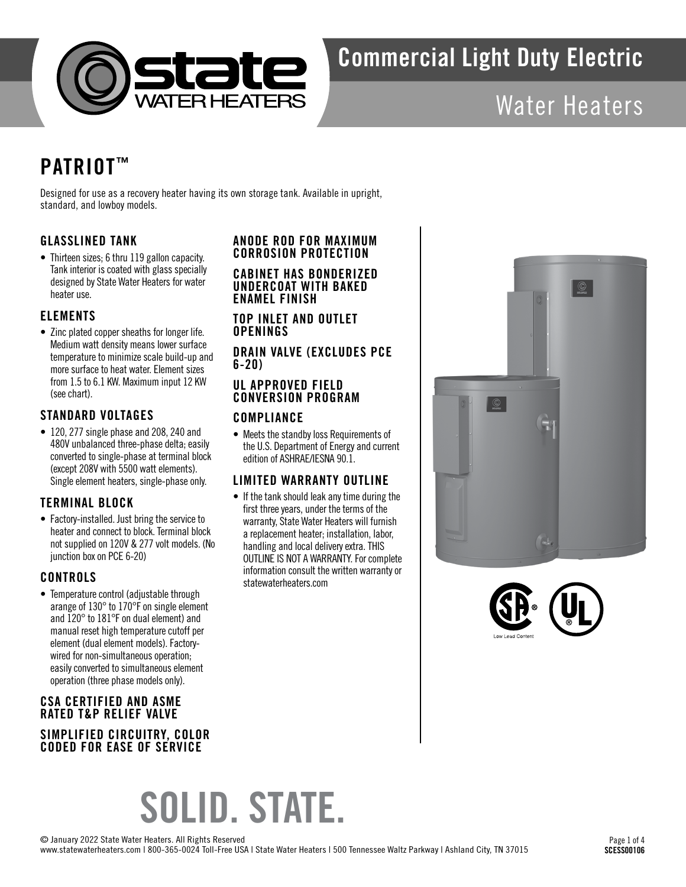

## Water Heaters

## PATRIOT™

Designed for use as a recovery heater having its own storage tank. Available in upright, standard, and lowboy models.

### GLASSLINED TANK

• Thirteen sizes; 6 thru 119 gallon capacity. Tank interior is coated with glass specially designed by State Water Heaters for water heater use.

### ELEMENTS

• Zinc plated copper sheaths for longer life. Medium watt density means lower surface temperature to minimize scale build-up and more surface to heat water. Element sizes from 1.5 to 6.1 KW. Maximum input 12 KW (see chart).

### STANDARD VOLTAGES

• 120, 277 single phase and 208, 240 and 480V unbalanced three-phase delta; easily converted to single-phase at terminal block (except 208V with 5500 watt elements). Single element heaters, single-phase only.

### TERMINAL BLOCK

• Factory-installed. Just bring the service to heater and connect to block. Terminal block not supplied on 120V & 277 volt models. (No junction box on PCE 6-20)

### **CONTROLS**

• Temperature control (adjustable through arange of 130° to 170°F on single element and 120° to 181°F on dual element) and manual reset high temperature cutoff per element (dual element models). Factorywired for non-simultaneous operation; easily converted to simultaneous element operation (three phase models only).

### CSA CERTIFIED AND ASME RATED T&P RELIEF VALVE SIMPLIFIED CIRCUITRY, COLOR CODED FOR EASE OF SERVICE

### ANODE ROD FOR MAXIMUM CORROSION PROTECTION

CABINET HAS BONDERIZED UNDERCOAT WITH BAKED ENAMEL FINISH

TOP INLET AND OUTLET **OPENINGS** 

### DRAIN VALVE (EXCLUDES PCE 6-20)

### UL APPROVED FIELD CONVERSION PROGRAM

### COMPLIANCE

• Meets the standby loss Requirements of the U.S. Department of Energy and current edition of ASHRAE/IESNA 90.1.

### LIMITED WARRANTY OUTLINE

• If the tank should leak any time during the first three years, under the terms of the warranty, State Water Heaters will furnish a replacement heater; installation, labor, handling and local delivery extra. THIS OUTLINE IS NOT A WARRANTY. For complete information consult the written warranty or statewaterheaters.com





# SOLID. STATE.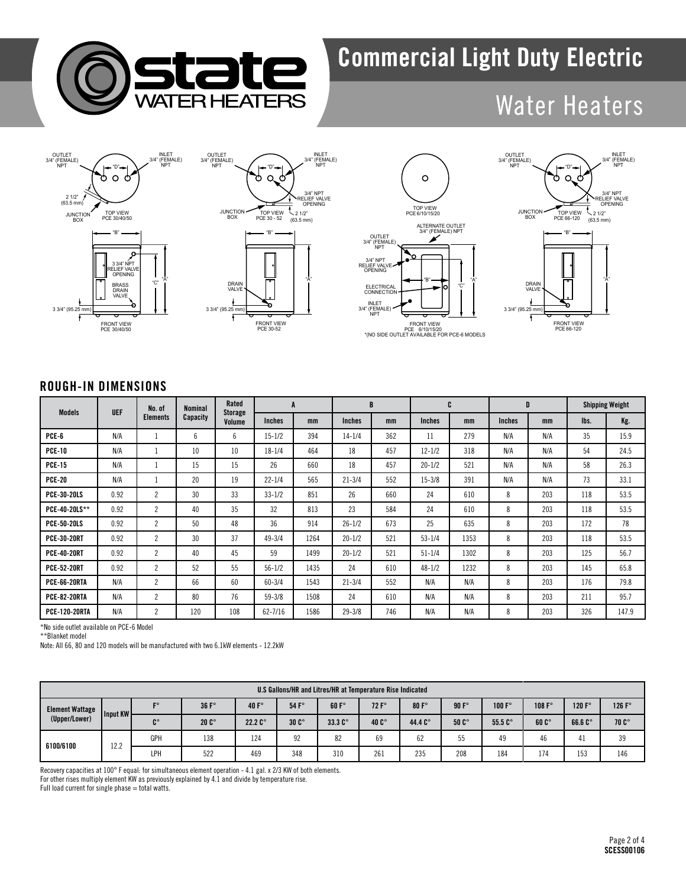

## Water Heaters









### ROUGH-IN DIMENSIONS

|                      |            | No. of          | <b>Nominal</b> | Rated             | A             |      | B             |     | C             |      | D             |     | <b>Shipping Weight</b> |       |
|----------------------|------------|-----------------|----------------|-------------------|---------------|------|---------------|-----|---------------|------|---------------|-----|------------------------|-------|
| Models               | <b>UEF</b> | <b>Elements</b> | Capacity       | Storage<br>Volume | <b>Inches</b> | mm   | <b>Inches</b> | mm  | <b>Inches</b> | mm   | <b>Inches</b> | mm  | lbs.                   | Kg.   |
| PCE-6                | N/A        | $\mathbf{I}$    | 6              | 6                 | $15 - 1/2$    | 394  | $14 - 1/4$    | 362 | 11            | 279  | N/A           | N/A | 35                     | 15.9  |
| <b>PCE-10</b>        | N/A        | $\mathbf{I}$    | 10             | 10                | $18 - 1/4$    | 464  | 18            | 457 | $12 - 1/2$    | 318  | N/A           | N/A | 54                     | 24.5  |
| <b>PCE-15</b>        | N/A        | $\perp$         | 15             | 15                | 26            | 660  | 18            | 457 | $20 - 1/2$    | 521  | N/A           | N/A | 58                     | 26.3  |
| <b>PCE-20</b>        | N/A        | -1              | 20             | 19                | $22 - 1/4$    | 565  | $21 - 3/4$    | 552 | $15 - 3/8$    | 391  | N/A           | N/A | 73                     | 33.1  |
| <b>PCE-30-20LS</b>   | 0.92       | $\overline{c}$  | 30             | 33                | $33 - 1/2$    | 851  | 26            | 660 | 24            | 610  | 8             | 203 | 118                    | 53.5  |
| PCE-40-20LS**        | 0.92       | $\overline{2}$  | 40             | 35                | 32            | 813  | 23            | 584 | 24            | 610  | 8             | 203 | 118                    | 53.5  |
| <b>PCE-50-20LS</b>   | 0.92       | $\overline{2}$  | 50             | 48                | 36            | 914  | $26 - 1/2$    | 673 | 25            | 635  | 8             | 203 | 172                    | 78    |
| <b>PCE-30-20RT</b>   | 0.92       | $\overline{2}$  | 30             | 37                | $49 - 3/4$    | 1264 | $20 - 1/2$    | 521 | $53 - 1/4$    | 1353 | 8             | 203 | 118                    | 53.5  |
| <b>PCE-40-20RT</b>   | 0.92       | $\overline{c}$  | 40             | 45                | 59            | 1499 | $20 - 1/2$    | 521 | $51 - 1/4$    | 1302 | 8             | 203 | 125                    | 56.7  |
| <b>PCE-52-20RT</b>   | 0.92       | $\overline{c}$  | 52             | 55                | $56 - 1/2$    | 1435 | 24            | 610 | $48 - 1/2$    | 1232 | 8             | 203 | 145                    | 65.8  |
| <b>PCE-66-20RTA</b>  | N/A        | $\overline{2}$  | 66             | 60                | $60 - 3/4$    | 1543 | $21 - 3/4$    | 552 | N/A           | N/A  | 8             | 203 | 176                    | 79.8  |
| <b>PCE-82-20RTA</b>  | N/A        | $\overline{2}$  | 80             | 76                | $59 - 3/8$    | 1508 | 24            | 610 | N/A           | N/A  | 8             | 203 | 211                    | 95.7  |
| <b>PCE-120-20RTA</b> | N/A        | $\overline{2}$  | 120            | 108               | $62 - 7/16$   | 1586 | $29 - 3/8$    | 746 | N/A           | N/A  | 8             | 203 | 326                    | 147.9 |

\*No side outlet available on PCE-6 Model

\*\*Blanket model

Note: All 66, 80 and 120 models will be manufactured with two 6.1kW elements - 12.2kW

| U.S Gallons/HR and Litres/HR at Temperature Rise Indicated |          |     |               |                  |                |                   |                |         |                |                 |               |                 |                 |
|------------------------------------------------------------|----------|-----|---------------|------------------|----------------|-------------------|----------------|---------|----------------|-----------------|---------------|-----------------|-----------------|
| <b>Element Wattage</b><br>(Upper/Lower)                    | Input KW | го  | 36 F          | 40 $F^{\circ}$   | $54 F^{\circ}$ | 60 F <sup>o</sup> | $72 F^{\circ}$ | 80 F    | $90 F^{\circ}$ | 100 $F^{\circ}$ | 108 $Fo$      | 120 $F^{\circ}$ | 126 $F^{\circ}$ |
|                                                            |          | C°  | $20C^{\circ}$ | 22.2 $C^{\circ}$ | $30C^{\circ}$  | $33.3C^{\circ}$   | 40 $C^{\circ}$ | 44.4 C° | $50C^{\circ}$  | $55.5C^{\circ}$ | $60C^{\circ}$ | 66.6 C°         | $70C^{\circ}$   |
| 6100/6100                                                  | 12.2     | GPH | 138           | 124              | 92             | 82                | 69             | 62      | 55             | 49              | 46            |                 | 39              |
|                                                            |          | LPH | 522           | 469              | 348            | 310               | 261            | 235     | 208            | 184             | 174           | 153             | 146             |

Recovery capacities at 100° F equal: for simultaneous element operation - 4.1 gal. x 2/3 KW of both elements. For other rises multiply element KW as previously explained by 4.1 and divide by temperature rise. Full load current for single phase = total watts.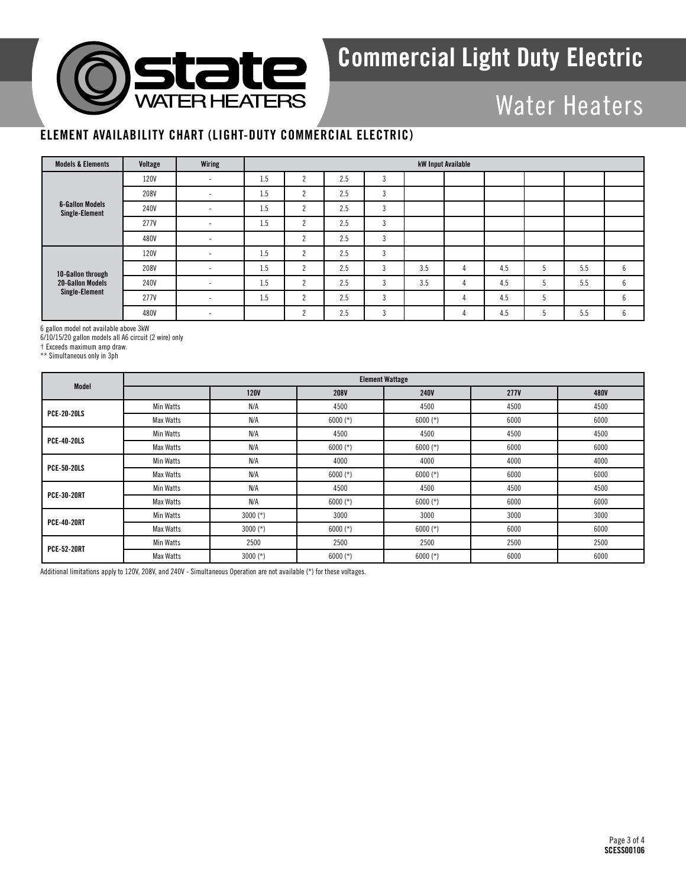

## Water Heaters

### ELEMENT AVAILABILITY CHART (LIGHT-DUTY COMMERCIAL ELECTRIC)

| <b>Models &amp; Elements</b>             | Voltage     | Wiring                   |     | kW Input Available |     |               |     |   |     |     |     |             |  |  |  |
|------------------------------------------|-------------|--------------------------|-----|--------------------|-----|---------------|-----|---|-----|-----|-----|-------------|--|--|--|
|                                          | 120V        | ۰                        | 1.5 |                    | 2.5 | $\Omega$<br>5 |     |   |     |     |     |             |  |  |  |
|                                          | 208V        | ۰                        | 1.5 | $\overline{2}$     | 2.5 | 3             |     |   |     |     |     |             |  |  |  |
| <b>6-Gallon Models</b><br>Single-Element | 240V        | $\overline{\phantom{a}}$ | 1.5 | $\sim$             | 2.5 | 3             |     |   |     |     |     |             |  |  |  |
|                                          | 277V        | ۰.                       | 1.5 | $\Omega$           | 2.5 | 3             |     |   |     |     |     |             |  |  |  |
|                                          | 480V        | ۰                        |     | $\Omega$           | 2.5 | 3             |     |   |     |     |     |             |  |  |  |
|                                          | <b>120V</b> | ۰.                       | 1.5 | $\Omega$           | 2.5 | 3             |     |   |     |     |     |             |  |  |  |
| 10-Gallon through                        | 208V        | ۰                        | 1.5 | $\Omega$           | 2.5 | 3             | 3.5 | 4 | 4.5 |     | 5.5 | 6           |  |  |  |
| <b>20-Gallon Models</b>                  | 240V        | $\overline{\phantom{a}}$ | 1.5 | $\Omega$           | 2.5 | 3             | 3.5 | 4 | 4.5 |     | 5.5 | 6           |  |  |  |
| Single-Element                           | 277V        | $\sim$                   | 1.5 | $\Omega$           | 2.5 | 3             |     |   | 4.5 | - 1 |     | 6           |  |  |  |
|                                          | 480V        | $\sim$                   |     | $\Omega$           | 2.5 | 3             |     |   | 4.5 |     | 5.5 | $\sim$<br>b |  |  |  |

6 gallon model not available above 3kW

6/10/15/20 gallon models all A6 circuit (2 wire) only

† Exceeds maximum amp draw.

\*\* Simultaneous only in 3ph

| Model              | <b>Element Wattage</b> |             |             |             |             |      |  |  |  |  |  |  |
|--------------------|------------------------|-------------|-------------|-------------|-------------|------|--|--|--|--|--|--|
|                    |                        | <b>120V</b> | <b>208V</b> | <b>240V</b> | <b>277V</b> | 480V |  |  |  |  |  |  |
| <b>PCE-20-20LS</b> | Min Watts              | N/A         | 4500        | 4500        | 4500        | 4500 |  |  |  |  |  |  |
|                    | Max Watts              | N/A         | $6000$ (*)  | $6000$ (*)  | 6000        | 6000 |  |  |  |  |  |  |
| <b>PCE-40-20LS</b> | Min Watts              | N/A         | 4500        | 4500        | 4500        | 4500 |  |  |  |  |  |  |
|                    | Max Watts              | N/A         | $6000$ (*)  | $6000$ (*)  | 6000        | 6000 |  |  |  |  |  |  |
| <b>PCE-50-20LS</b> | Min Watts              | N/A         | 4000        | 4000        | 4000        | 4000 |  |  |  |  |  |  |
|                    | Max Watts              | N/A         | $6000$ (*)  | $6000$ (*)  | 6000        | 6000 |  |  |  |  |  |  |
|                    | Min Watts              | N/A         | 4500        | 4500        | 4500        | 4500 |  |  |  |  |  |  |
| <b>PCE-30-20RT</b> | Max Watts              | N/A         | $6000$ (*)  | $6000$ (*)  | 6000        | 6000 |  |  |  |  |  |  |
| <b>PCE-40-20RT</b> | Min Watts              | $3000$ (*)  | 3000        | 3000        | 3000        | 3000 |  |  |  |  |  |  |
|                    | Max Watts              | $3000$ (*)  | $6000$ (*)  | $6000$ (*)  | 6000        | 6000 |  |  |  |  |  |  |
|                    | Min Watts              | 2500        | 2500        | 2500        | 2500        | 2500 |  |  |  |  |  |  |
| <b>PCE-52-20RT</b> | Max Watts              | $3000$ (*)  | $6000$ (*)  | $6000$ (*)  | 6000        | 6000 |  |  |  |  |  |  |

Additional limitations apply to 120V, 208V, and 240V - Simultaneous Operation are not available (\*) for these voltages.